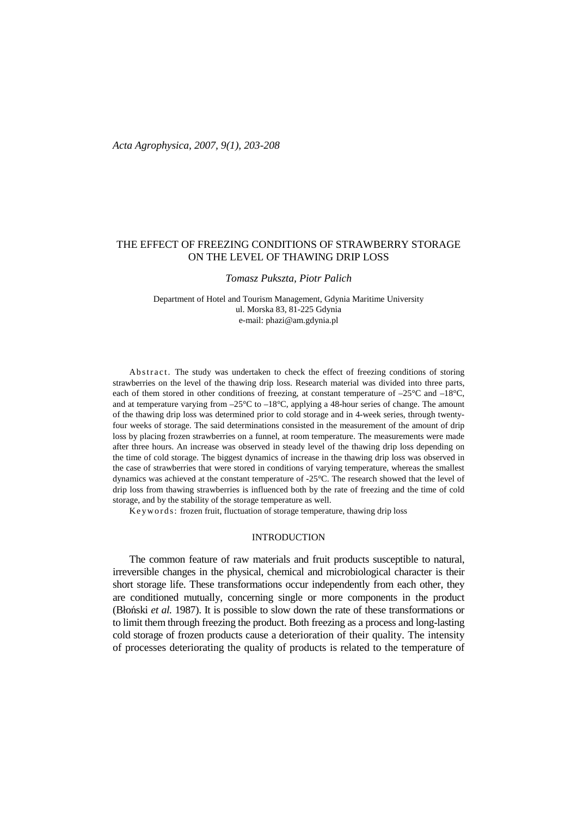# THE EFFECT OF FREEZING CONDITIONS OF STRAWBERRY STORAGE ON THE LEVEL OF THAWING DRIP LOSS

### *Tomasz Pukszta, Piotr Palich*

Department of Hotel and Tourism Management, Gdynia Maritime University ul. Morska 83, 81-225 Gdynia e-mail: phazi@am.gdynia.pl

Ab stract. The study was undertaken to check the effect of freezing conditions of storing strawberries on the level of the thawing drip loss. Research material was divided into three parts, each of them stored in other conditions of freezing, at constant temperature of  $-25^{\circ}\text{C}$  and  $-18^{\circ}\text{C}$ , and at temperature varying from –25°C to –18°C, applying a 48-hour series of change. The amount of the thawing drip loss was determined prior to cold storage and in 4-week series, through twentyfour weeks of storage. The said determinations consisted in the measurement of the amount of drip loss by placing frozen strawberries on a funnel, at room temperature. The measurements were made after three hours. An increase was observed in steady level of the thawing drip loss depending on the time of cold storage. The biggest dynamics of increase in the thawing drip loss was observed in the case of strawberries that were stored in conditions of varying temperature, whereas the smallest dynamics was achieved at the constant temperature of -25°C. The research showed that the level of drip loss from thawing strawberries is influenced both by the rate of freezing and the time of cold storage, and by the stability of the storage temperature as well.

K e y w ords: frozen fruit, fluctuation of storage temperature, thawing drip loss

## INTRODUCTION

The common feature of raw materials and fruit products susceptible to natural, irreversible changes in the physical, chemical and microbiological character is their short storage life. These transformations occur independently from each other, they are conditioned mutually, concerning single or more components in the product (Błoński *et al.* 1987). It is possible to slow down the rate of these transformations or to limit them through freezing the product. Both freezing as a process and long-lasting cold storage of frozen products cause a deterioration of their quality. The intensity of processes deteriorating the quality of products is related to the temperature of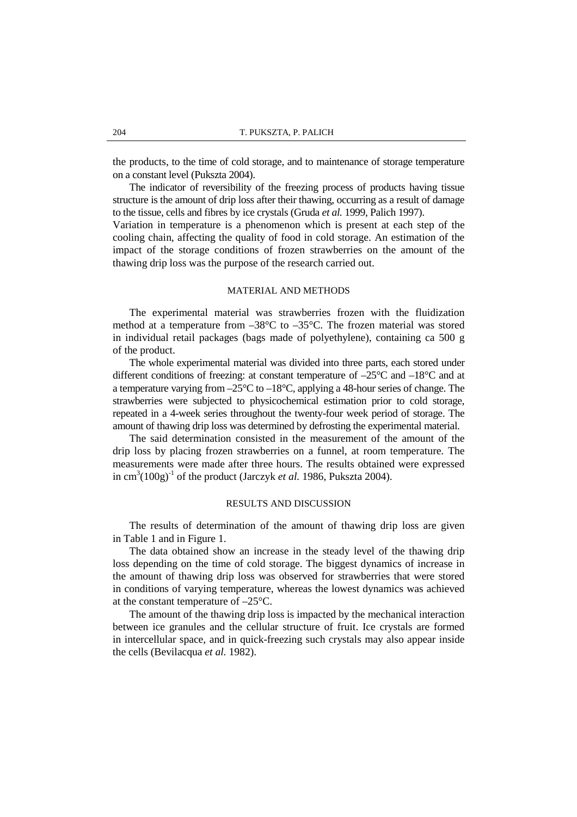the products, to the time of cold storage, and to maintenance of storage temperature on a constant level (Pukszta 2004).

The indicator of reversibility of the freezing process of products having tissue structure is the amount of drip loss after their thawing, occurring as a result of damage to the tissue, cells and fibres by ice crystals (Gruda *et al.* 1999, Palich 1997).

Variation in temperature is a phenomenon which is present at each step of the cooling chain, affecting the quality of food in cold storage. An estimation of the impact of the storage conditions of frozen strawberries on the amount of the thawing drip loss was the purpose of the research carried out.

### MATERIAL AND METHODS

The experimental material was strawberries frozen with the fluidization method at a temperature from –38°C to –35°C. The frozen material was stored in individual retail packages (bags made of polyethylene), containing ca 500 g of the product.

The whole experimental material was divided into three parts, each stored under different conditions of freezing: at constant temperature of –25°C and –18°C and at a temperature varying from  $-25^{\circ}\text{C}$  to  $-18^{\circ}\text{C}$ , applying a 48-hour series of change. The strawberries were subjected to physicochemical estimation prior to cold storage, repeated in a 4-week series throughout the twenty-four week period of storage. The amount of thawing drip loss was determined by defrosting the experimental material.

The said determination consisted in the measurement of the amount of the drip loss by placing frozen strawberries on a funnel, at room temperature. The measurements were made after three hours. The results obtained were expressed in  $\text{cm}^3(100\text{g})^{-1}$  of the product (Jarczyk *et al.* 1986, Pukszta 2004).

## RESULTS AND DISCUSSION

The results of determination of the amount of thawing drip loss are given in Table 1 and in Figure 1.

The data obtained show an increase in the steady level of the thawing drip loss depending on the time of cold storage. The biggest dynamics of increase in the amount of thawing drip loss was observed for strawberries that were stored in conditions of varying temperature, whereas the lowest dynamics was achieved at the constant temperature of –25°C.

The amount of the thawing drip loss is impacted by the mechanical interaction between ice granules and the cellular structure of fruit. Ice crystals are formed in intercellular space, and in quick-freezing such crystals may also appear inside the cells (Bevilacqua *et al.* 1982).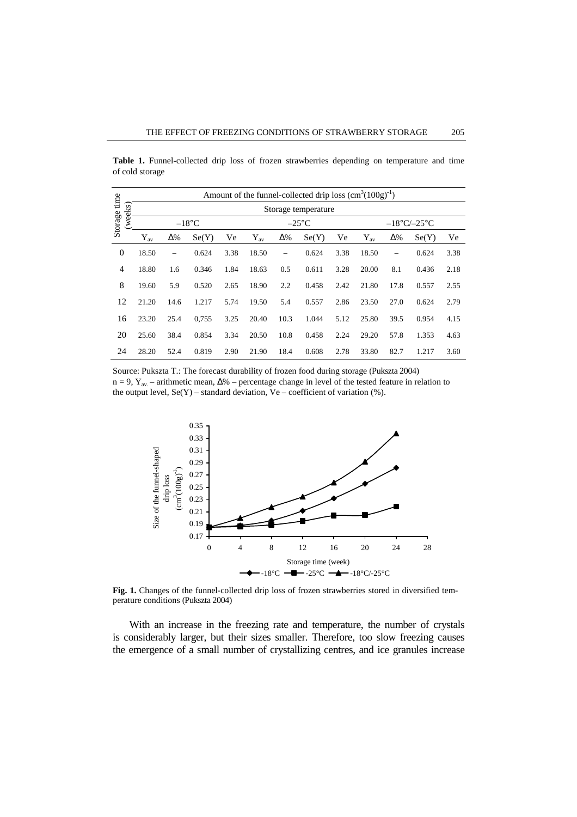**Table 1.** Funnel-collected drip loss of frozen strawberries depending on temperature and time of cold storage

| Storage time<br>weeks) | Amount of the funnel-collected drip loss $(cm^3(100g)^{-1})$ |                          |       |      |                 |                          |       |      |                                  |                          |       |      |
|------------------------|--------------------------------------------------------------|--------------------------|-------|------|-----------------|--------------------------|-------|------|----------------------------------|--------------------------|-------|------|
|                        | Storage temperature                                          |                          |       |      |                 |                          |       |      |                                  |                          |       |      |
|                        | $-18$ °C                                                     |                          |       |      | $-25^{\circ}$ C |                          |       |      | $-18^{\circ}$ C/ $-25^{\circ}$ C |                          |       |      |
|                        | $Y_{\rm av}$                                                 | $\Delta\%$               | Se(Y) | Ve   | $Y_{\rm av}$    | $\Delta\%$               | Se(Y) | Ve   | $Y_{\rm av}$                     | $\Delta\%$               | Se(Y) | Ve   |
| $\boldsymbol{0}$       | 18.50                                                        | $\overline{\phantom{0}}$ | 0.624 | 3.38 | 18.50           | $\overline{\phantom{0}}$ | 0.624 | 3.38 | 18.50                            | $\overline{\phantom{0}}$ | 0.624 | 3.38 |
| $\overline{4}$         | 18.80                                                        | 1.6                      | 0.346 | 1.84 | 18.63           | 0.5                      | 0.611 | 3.28 | 20.00                            | 8.1                      | 0.436 | 2.18 |
| 8                      | 19.60                                                        | 5.9                      | 0.520 | 2.65 | 18.90           | 2.2                      | 0.458 | 2.42 | 21.80                            | 17.8                     | 0.557 | 2.55 |
| 12                     | 21.20                                                        | 14.6                     | 1.217 | 5.74 | 19.50           | 5.4                      | 0.557 | 2.86 | 23.50                            | 27.0                     | 0.624 | 2.79 |
| 16                     | 23.20                                                        | 25.4                     | 0,755 | 3.25 | 20.40           | 10.3                     | 1.044 | 5.12 | 25.80                            | 39.5                     | 0.954 | 4.15 |
| 20                     | 25.60                                                        | 38.4                     | 0.854 | 3.34 | 20.50           | 10.8                     | 0.458 | 2.24 | 29.20                            | 57.8                     | 1.353 | 4.63 |
| 24                     | 28.20                                                        | 52.4                     | 0.819 | 2.90 | 21.90           | 18.4                     | 0.608 | 2.78 | 33.80                            | 82.7                     | 1.217 | 3.60 |

Source: Pukszta T.: The forecast durability of frozen food during storage (Pukszta 2004) n = 9, Y<sub>av.</sub> – arithmetic mean,  $\Delta\%$  – percentage change in level of the tested feature in relation to the output level,  $Se(Y)$  – standard deviation,  $Ve$  – coefficient of variation (%).



**Fig. 1.** Changes of the funnel-collected drip loss of frozen strawberries stored in diversified temperature conditions (Pukszta 2004)

With an increase in the freezing rate and temperature, the number of crystals is considerably larger, but their sizes smaller. Therefore, too slow freezing causes the emergence of a small number of crystallizing centres, and ice granules increase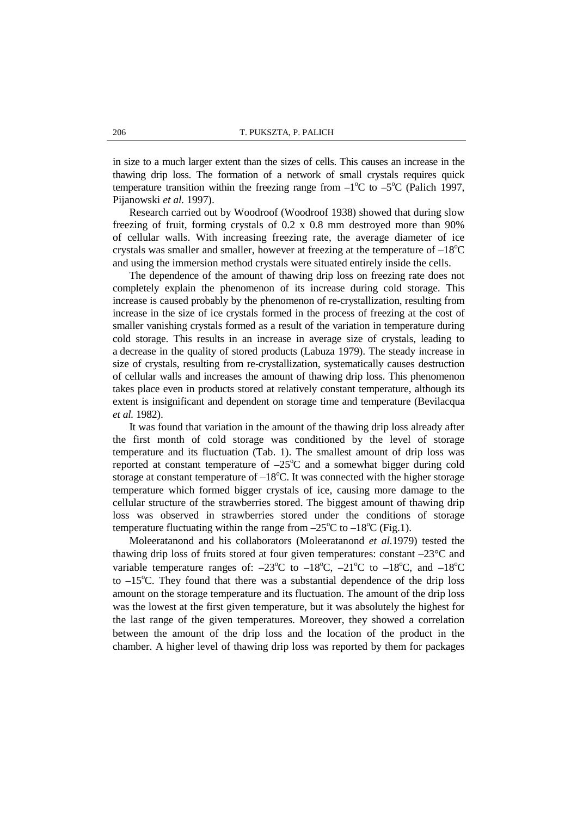in size to a much larger extent than the sizes of cells. This causes an increase in the thawing drip loss. The formation of a network of small crystals requires quick temperature transition within the freezing range from  $-1^{\circ}C$  to  $-5^{\circ}C$  (Palich 1997, Pijanowski *et al.* 1997).

Research carried out by Woodroof (Woodroof 1938) showed that during slow freezing of fruit, forming crystals of 0.2 x 0.8 mm destroyed more than 90% of cellular walls. With increasing freezing rate, the average diameter of ice crystals was smaller and smaller, however at freezing at the temperature of  $-18^{\circ}$ C and using the immersion method crystals were situated entirely inside the cells.

The dependence of the amount of thawing drip loss on freezing rate does not completely explain the phenomenon of its increase during cold storage. This increase is caused probably by the phenomenon of re-crystallization, resulting from increase in the size of ice crystals formed in the process of freezing at the cost of smaller vanishing crystals formed as a result of the variation in temperature during cold storage. This results in an increase in average size of crystals, leading to a decrease in the quality of stored products (Labuza 1979). The steady increase in size of crystals, resulting from re-crystallization, systematically causes destruction of cellular walls and increases the amount of thawing drip loss. This phenomenon takes place even in products stored at relatively constant temperature, although its extent is insignificant and dependent on storage time and temperature (Bevilacqua *et al.* 1982).

It was found that variation in the amount of the thawing drip loss already after the first month of cold storage was conditioned by the level of storage temperature and its fluctuation (Tab. 1). The smallest amount of drip loss was reported at constant temperature of  $-25^{\circ}\text{C}$  and a somewhat bigger during cold storage at constant temperature of  $-18^{\circ}$ C. It was connected with the higher storage temperature which formed bigger crystals of ice, causing more damage to the cellular structure of the strawberries stored. The biggest amount of thawing drip loss was observed in strawberries stored under the conditions of storage temperature fluctuating within the range from  $-25^{\circ}C$  to  $-18^{\circ}C$  (Fig.1).

Moleeratanond and his collaborators (Moleeratanond *et al.*1979) tested the thawing drip loss of fruits stored at four given temperatures: constant –23°C and variable temperature ranges of:  $-23^{\circ}\text{C}$  to  $-18^{\circ}\text{C}$ ,  $-21^{\circ}\text{C}$  to  $-18^{\circ}\text{C}$ , and  $-18^{\circ}\text{C}$ to  $-15^{\circ}$ C. They found that there was a substantial dependence of the drip loss amount on the storage temperature and its fluctuation. The amount of the drip loss was the lowest at the first given temperature, but it was absolutely the highest for the last range of the given temperatures. Moreover, they showed a correlation between the amount of the drip loss and the location of the product in the chamber. A higher level of thawing drip loss was reported by them for packages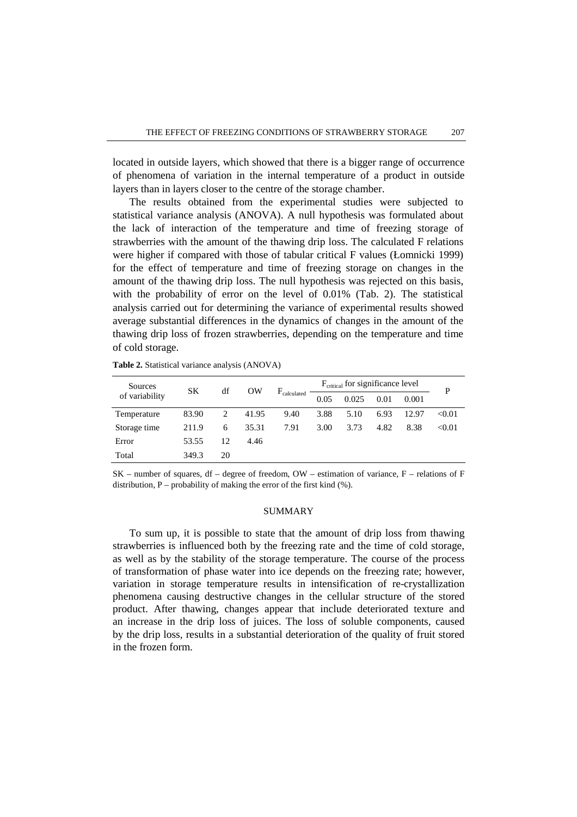located in outside layers, which showed that there is a bigger range of occurrence of phenomena of variation in the internal temperature of a product in outside layers than in layers closer to the centre of the storage chamber.

The results obtained from the experimental studies were subjected to statistical variance analysis (ANOVA). A null hypothesis was formulated about the lack of interaction of the temperature and time of freezing storage of strawberries with the amount of the thawing drip loss. The calculated F relations were higher if compared with those of tabular critical F values (Łomnicki 1999) for the effect of temperature and time of freezing storage on changes in the amount of the thawing drip loss. The null hypothesis was rejected on this basis, with the probability of error on the level of 0.01% (Tab. 2). The statistical analysis carried out for determining the variance of experimental results showed average substantial differences in the dynamics of changes in the amount of the thawing drip loss of frozen strawberries, depending on the temperature and time of cold storage.

| Sources        | SК    | df | OW    | $F_{calculated}$ | F <sub>critical</sub> for significance level |       |      |       |        |
|----------------|-------|----|-------|------------------|----------------------------------------------|-------|------|-------|--------|
| of variability |       |    |       |                  | 0.05                                         | 0.025 | 0.01 | 0.001 |        |
| Temperature    | 83.90 | 2  | 41.95 | 9.40             | 3.88                                         | 5.10  | 6.93 | 12.97 | < 0.01 |
| Storage time   | 211.9 | 6  | 35.31 | 7.91             | 3.00                                         | 3.73  | 4.82 | 8.38  | < 0.01 |
| Error          | 53.55 | 12 | 4.46  |                  |                                              |       |      |       |        |
| Total          | 349.3 | 20 |       |                  |                                              |       |      |       |        |

**Table 2.** Statistical variance analysis (ANOVA)

 $SK$  – number of squares, df – degree of freedom, OW – estimation of variance, F – relations of F distribution,  $P$  – probability of making the error of the first kind  $(\%)$ .

### SUMMARY

To sum up, it is possible to state that the amount of drip loss from thawing strawberries is influenced both by the freezing rate and the time of cold storage, as well as by the stability of the storage temperature. The course of the process of transformation of phase water into ice depends on the freezing rate; however, variation in storage temperature results in intensification of re-crystallization phenomena causing destructive changes in the cellular structure of the stored product. After thawing, changes appear that include deteriorated texture and an increase in the drip loss of juices. The loss of soluble components, caused by the drip loss, results in a substantial deterioration of the quality of fruit stored in the frozen form.